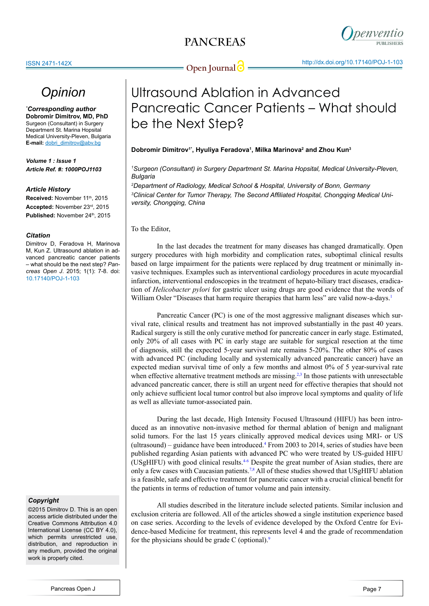

## *Opinion*

*\* Corresponding author* **Dobromir Dimitrov, MD, PhD** Surgeon (Consultant) in Surgery Department St. Marina Hopsital Medical University-Pleven, Bulgaria **E-mail:** dobri\_dimitrov@abv.bg

*Volume 1 : Issue 1 Article Ref. #: 1000POJ1103*

#### *Article History*

**Received: November 11th, 2015 Accepted:** November 23rd, 2015 Published: November 24<sup>th</sup>, 2015

#### *Citation*

Dimitrov D, Feradova H, Marinova M, Kun Z. Ultrasound ablation in advanced pancreatic cancer patients – what should be the next step? *Pancreas Open J*. 2015; 1(1): 7-8. doi: [10.17140/POJ-1-103](http://openventio.org/Volume1_Issue1/Ultrasound_Ablation_in_Advanced_Pancreatic_Cancer_Patients_What_should_be_the_Next_Step_POJ_1_103.pdf)

#### *Copyright*

©2015 Dimitrov D. This is an open access article distributed under the Creative Commons Attribution 4.0 International License (CC BY 4.0), which permits unrestricted use, distribution, and reproduction in any medium, provided the original work is properly cited.

# Ultrasound Ablation in Advanced Pancreatic Cancer Patients – What should be the Next Step?

### **Dobromir Dimitrov1\*, Hyuliya Feradova1 , Milka Marinova2 and Zhou Kun3**

#### *1 Surgeon (Consultant) in Surgery Department St. Marina Hopsital, Medical University-Pleven, Bulgaria*

*2 Department of Radiology, Medical School & Hospital, University of Bonn, Germany 3 Clinical Center for Tumor Therapy, The Second Affiliated Hospital, Chongqing Medical University, Chongqing, China*

To the Editor,

In the last decades the treatment for many diseases has changed dramatically. Open surgery procedures with high morbidity and complication rates, suboptimal clinical results based on large impairment for the patients were replaced by drug treatment or minimally invasive techniques. Examples such as interventional cardiology procedures in acute myocardial infarction, interventional endoscopies in the treatment of hepato-biliary tract diseases, eradication of *Helicobacter pylori* for gastric ulcer using drugs are good evidence that the words of William Osler "Diseases that harm require therapies that harm less" are valid now-a-days.<sup>[1](#page-1-0)</sup>

Pancreatic Cancer (PC) is one of the most aggressive malignant diseases which survival rate, clinical results and treatment has not improved substantially in the past 40 years. Radical surgery is still the only curative method for pancreatic cancer in early stage. Estimated, only 20% of all cases with PC in early stage are suitable for surgical resection at the time of diagnosis, still the expected 5-year survival rate remains 5-20%. The other 80% of cases with advanced PC (including locally and systemically advanced pancreatic cancer) have an expected median survival time of only a few months and almost 0% of 5 year-survival rate when effective alternative treatment methods are missing.<sup>2,3</sup> In those patients with unresectable advanced pancreatic cancer, there is still an urgent need for effective therapies that should not only achieve sufficient local tumor control but also improve local symptoms and quality of life as well as alleviate tumor-associated pain.

During the last decade, High Intensity Focused Ultrasound (HIFU) has been introduced as an innovative non-invasive method for thermal ablation of benign and malignant solid tumors. For the last 15 years clinically approved medical devices using MRI- or US (ultrasound) – guidance have been introduced.[4](#page-1-2) From 2003 to 2014, series of studies have been published regarding Asian patients with advanced PC who were treated by US-guided HIFU (USgHIFU) with good clinical results.[4-6](#page-1-2) Despite the great number of Asian studies, there are only a few cases with Caucasian patients[.7,8](#page-1-3) All of these studies showed that USgHIFU ablation is a feasible, safe and effective treatment for pancreatic cancer with a crucial clinical benefit for the patients in terms of reduction of tumor volume and pain intensity.

All studies described in the literature include selected patients. Similar inclusion and exclusion criteria are followed. All of the articles showed a single institution experience based on case series. According to the levels of evidence developed by the Oxford Centre for Evidence-based Medicine for treatment, this represents level 4 and the grade of recommendation for the physicians should be grade C (optional). $9$